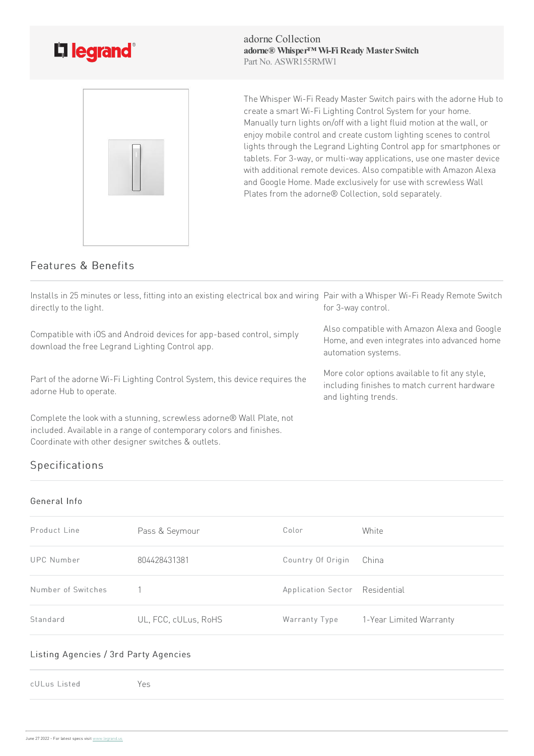

adorne Collection **adorne® Whisper™ Wi-Fi Ready Master Switch** Part No. ASWR155RMW1



The Whisper Wi-Fi Ready Master Switch pairs with the adorne Hub to create a smart Wi-Fi Lighting Control System for your home. Manually turn lights on/off with a light fluid motion at the wall, or enjoy mobile control and create custom lighting scenes to control lights through the Legrand Lighting Control app for smartphones or tablets. For 3-way, or multi-way applications, use one master device with additional remote devices. Also compatible with Amazon Alexa and Google Home. Made exclusively for use with screwless Wall Plates from the adorne® Collection, sold separately.

## Features & Benefits

| Installs in 25 minutes or less, fitting into an existing electrical box and wiring Pair with a Whisper Wi-Fi Ready Remote Switch<br>directly to the light.                                        | for 3-way control.                                                                                                     |
|---------------------------------------------------------------------------------------------------------------------------------------------------------------------------------------------------|------------------------------------------------------------------------------------------------------------------------|
| Compatible with iOS and Android devices for app-based control, simply<br>download the free Legrand Lighting Control app.                                                                          | Also compatible with Amazon Alexa and Google<br>Home, and even integrates into advanced home<br>automation systems.    |
| Part of the adorne Wi-Fi Lighting Control System, this device requires the<br>adorne Hub to operate.                                                                                              | More color options available to fit any style,<br>including finishes to match current hardware<br>and lighting trends. |
| Complete the look with a stunning, screwless adorne® Wall Plate, not<br>included. Available in a range of contemporary colors and finishes.<br>Coordinate with other designer switches & outlets. |                                                                                                                        |

# Specifications

#### General Info

| Product Line       | Pass & Seymour       | Color                          | White                   |
|--------------------|----------------------|--------------------------------|-------------------------|
| UPC Number         | 804428431381         | Country Of Origin              | China                   |
| Number of Switches |                      | Application Sector Residential |                         |
| Standard           | UL, FCC, cULus, RoHS | Warranty Type                  | 1-Year Limited Warranty |

#### Listing Agencies / 3rd Party Agencies

cULus Listed Yes